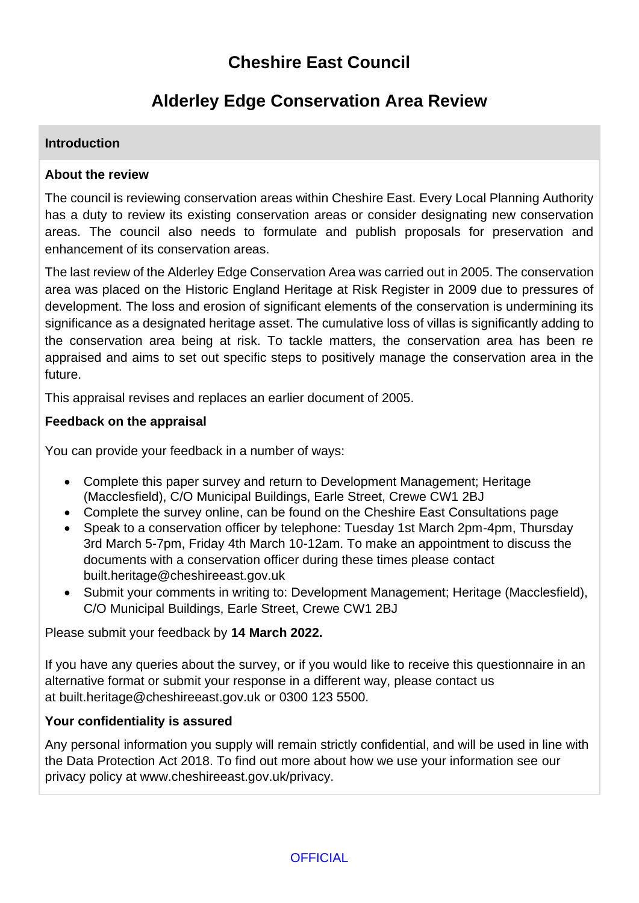# **Cheshire East Council**

# **Alderley Edge Conservation Area Review**

# **Introduction**

### **About the review**

The council is reviewing conservation areas within Cheshire East. Every Local Planning Authority has a duty to review its existing conservation areas or consider designating new conservation areas. The council also needs to formulate and publish proposals for preservation and enhancement of its conservation areas.

The last review of the Alderley Edge Conservation Area was carried out in 2005. The conservation area was placed on the Historic England Heritage at Risk Register in 2009 due to pressures of development. The loss and erosion of significant elements of the conservation is undermining its significance as a designated heritage asset. The cumulative loss of villas is significantly adding to the conservation area being at risk. To tackle matters, the conservation area has been re appraised and aims to set out specific steps to positively manage the conservation area in the future.

This appraisal revises and replaces an earlier document of 2005.

#### **Feedback on the appraisal**

You can provide your feedback in a number of ways:

- Complete this paper survey and return to Development Management; Heritage (Macclesfield), C/O Municipal Buildings, Earle Street, Crewe CW1 2BJ
- Complete the survey online, can be found on the Cheshire East Consultations page
- Speak to a conservation officer by telephone: Tuesday 1st March 2pm-4pm, Thursday 3rd March 5-7pm, Friday 4th March 10-12am. To make an appointment to discuss the documents with a conservation officer during these times please contact built.heritage@cheshireeast.gov.uk
- Submit your comments in writing to: Development Management; Heritage (Macclesfield), C/O Municipal Buildings, Earle Street, Crewe CW1 2BJ

Please submit your feedback by **14 March 2022.**

If you have any queries about the survey, or if you would like to receive this questionnaire in an alternative format or submit your response in a different way, please contact us at built.heritage@cheshireeast.gov.uk or 0300 123 5500.

## **Your confidentiality is assured**

Any personal information you supply will remain strictly confidential, and will be used in line with the Data Protection Act 2018. To find out more about how we use your information see our privacy policy at www.cheshireeast.gov.uk/privacy.